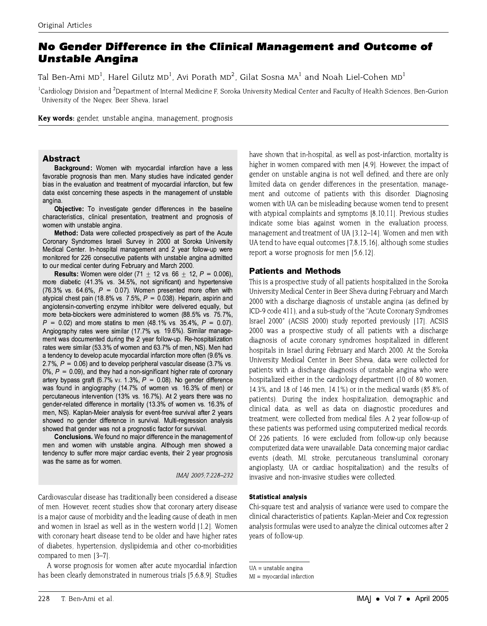# No Gender Difference in the Clinical Management and Outcome of **Unstable Angina**

Tal Ben-Ami MD<sup>1</sup>, Harel Gilutz MD<sup>1</sup>, Avi Porath MD<sup>2</sup>, Gilat Sosna MA<sup>1</sup> and Noah Liel-Cohen MD<sup>1</sup>

<sup>1</sup>Cardiology Division and <sup>2</sup>Department of Internal Medicine F, Soroka University Medical Center and Faculty of Health Sciences, Ben-Gurion University of the Negev, Beer Sheva, Israel

Key words: gender, unstable angina, management, prognosis

# **Abstract**

Background: Women with myocardial infarction have a less favorable prognosis than men. Many studies have indicated gender bias in the evaluation and treatment of myocardial infarction, but few data exist concerning these aspects in the management of unstable angina.

Objective: To investigate gender differences in the baseline characteristics, clinical presentation, treatment and prognosis of women with unstable angina.

Method: Data were collected prospectively as part of the Acute Coronary Syndromes Israeli Survey in 2000 at Soroka University Medical Center. In-hospital management and 2 year follow-up were monitored for 226 consecutive patients with unstable angina admitted to our medical center during February and March 2000.

**Results:** Women were older  $(71 \pm 12 \text{ vs. } 66 \pm 12, P = 0.006)$ , more diabetic (41.3% vs. 34.5%, not significant) and hypertensive (76.3% vs. 64.6%,  $P = 0.07$ ). Women presented more often with atypical chest pain (18.8% vs. 7.5%,  $P = 0.038$ ). Heparin, aspirin and angiotensin-converting enzyme inhibitor were delivered equally, but more beta-blockers were administered to women (88.5% vs. 75.7%,  $P = 0.02$ ) and more statins to men (48.1% vs. 35.4%,  $P = 0.07$ ). Angiography rates were similar (17.7% vs. 19.6%). Similar management was documented during the 2 year follow-up. Re-hospitalization rates were similar (53.3% of women and 63.7% of men, NS). Men had a tendency to develop acute myocardial infarction more often (9.6% vs. 2.7%,  $P = 0.06$ ) and to develop peripheral vascular disease (3.7% vs.  $0\%$ ,  $P = 0.09$ ), and they had a non-significant higher rate of coronary artery bypass graft (6.7% vs. 1.3%,  $P = 0.08$ ). No gender difference was found in angiography (14.7% of women vs. 16.3% of men) or percutaneous intervention (13% vs. 16.7%). At 2 years there was no gender-related difference in mortality (13.3% of women vs. 16.3% of men, NS). Kaplan-Meier analysis for event-free survival after 2 years showed no gender difference in survival. Multi-regression analysis showed that gender was not a prognostic factor for survival.

Conclusions. We found no major difference in the management of men and women with unstable angina. Although men showed a tendency to suffer more major cardiac events, their 2 year prognosis was the same as for women.

IMAJ 2005; 7:228-232

Cardiovascular disease has traditionally been considered a disease of men. However, recent studies show that coronary artery disease is a major cause of morbidity and the leading cause of death in men and women in Israel as well as in the western world [1,2]. Women with coronary heart disease tend to be older and have higher rates of diabetes, hypertension, dyslipidemia and other co-morbidities compared to men [3-7].

A worse prognosis for women after acute myocardial infarction has been clearly demonstrated in numerous trials [5,6,8,9]. Studies

have shown that in-hospital, as well as post-infarction, mortality is higher in women compared with men [4.9]. However, the impact of gender on unstable angina is not well defined, and there are only limited data on gender differences in the presentation, management and outcome of patients with this disorder. Diagnosing women with UA can be misleading because women tend to present with atypical complaints and symptoms [8,10,11]. Previous studies indicate some bias against women in the evaluation process. management and treatment of UA [3,12-14]. Women and men with UA tend to have equal outcomes [7,8,15,16], although some studies report a worse prognosis for men [5,6,12].

# **Patients and Methods**

This is a prospective study of all patients hospitalized in the Soroka University Medical Center in Beer Sheva during February and March 2000 with a discharge diagnosis of unstable angina (as defined by ICD-9 code 411), and a sub-study of the "Acute Coronary Syndromes Israel 2000" (ACSIS 2000) study reported previously [17]. ACSIS 2000 was a prospective study of all patients with a discharge diagnosis of acute coronary syndromes hospitalized in different hospitals in Israel during February and March 2000. At the Soroka University Medical Center in Beer Sheva, data were collected for patients with a discharge diagnosis of unstable angina who were hospitalized either in the cardiology department (10 of 80 women, 14.3%, and 18 of 146 men, 14.1%) or in the medical wards (85.8% of patients). During the index hospitalization, demographic and clinical data, as well as data on diagnostic procedures and treatment, were collected from medical files. A 2 year follow-up of these patients was performed using computerized medical records. Of 226 patients, 16 were excluded from follow-up only because computerized data were unavailable. Data concerning major cardiac events (death, MI, stroke, percutaneous transluminal coronary angioplasty, UA or cardiac hospitalization) and the results of invasive and non-invasive studies were collected.

# **Statistical analysis**

Chi-square test and analysis of variance were used to compare the clinical characteristics of patients. Kaplan-Meier and Cox regression analysis formulas were used to analyze the clinical outcomes after 2 vears of follow-up.

 $UA =$ unstable angina

 $MI = myocardial infarction$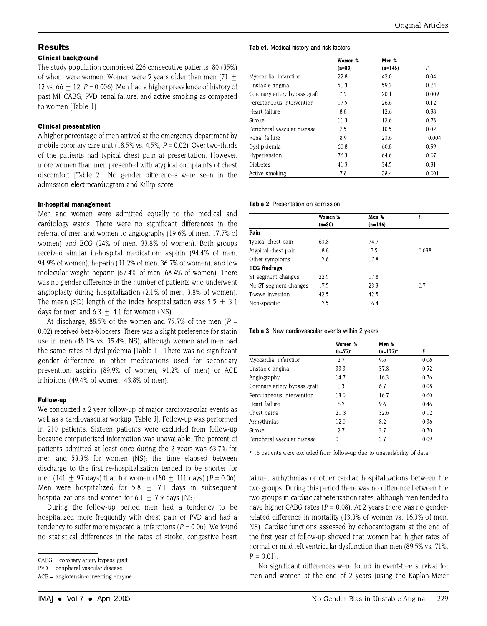# **Results**

#### **Clinical background**

The study population comprised 226 consecutive patients, 80 (35%) of whom were women. Women were 5 years older than men  $(71 +$ 12 vs. 66  $\pm$  12, P = 0.006). Men had a higher prevalence of history of past MI, CABG, PVD, renal failure, and active smoking as compared to women ITable 11.

### **Clinical presentation**

A higher percentage of men arrived at the emergency department by mobile coronary care unit (18.5% vs. 4.5%,  $P = 0.02$ ). Over two-thirds of the patients had typical chest pain at presentation. However, more women than men presented with atypical complaints of chest discomfort (Table 2). No gender differences were seen in the admission electrocardiogram and Killip score.

#### In-hospital management

Men and women were admitted equally to the medical and cardiology wards. There were no significant differences in the referral of men and women to angiography (19.6% of men, 17.7% of women) and ECG (24% of men, 33.8% of women). Both groups received similar in-hospital medication: aspirin (94.4% of men, 94.9% of women), heparin (31.2% of men, 36.7% of women), and low molecular weight heparin (67.4% of men, 68.4% of women). There was no gender difference in the number of patients who underwent angioplasty during hospitalization (2.1% of men, 3.8% of women). The mean (SD) length of the index hospitalization was  $5.5 + 3.1$ days for men and  $6.3 + 4.1$  for women (NS).

At discharge, 88.5% of the women and 75.7% of the men ( $P =$ 0.02) received beta-blockers. There was a slight preference for statin use in men (48.1% vs. 35.4%, NS), although women and men had the same rates of dyslipidemia [Table 1]. There was no significant gender difference in other medications used for secondary prevention: aspirin (89.9% of women, 91.2% of men) or ACE inhibitors (49.4% of women, 43.8% of men).

# Follow-up

We conducted a 2 year follow-up of major cardiovascular events as well as a cardiovascular workup [Table 3]. Follow-up was performed in 210 patients. Sixteen patients were excluded from follow-up because computerized information was unavailable. The percent of patients admitted at least once during the 2 years was 63.7% for men and 53.3% for women (NS); the time elapsed between discharge to the first re-hospitalization tended to be shorter for men (141  $\pm$  97 days) than for women (180  $\pm$  111 days) (P = 0.06). Men were hospitalized for 5.8  $\pm$  7.1 days in subsequent hospitalizations and women for 6.1  $\pm$  7.9 days (NS).

During the follow-up period men had a tendency to be hospitalized more frequently with chest pain or PVD and had a tendency to suffer more myocardial infarctions ( $P = 0.06$ ). We found no statistical differences in the rates of stroke, congestive heart

#### Table1. Medical history and risk factors

|                              | Women %  | Men %     |       |  |
|------------------------------|----------|-----------|-------|--|
|                              | $(n=80)$ | $(n=146)$ | P     |  |
| Myocardial infarction        | 22.8     | 42.0      | 0.04  |  |
| Unstable angina              | 51.3     | 59.3      | 0.24  |  |
| Coronary artery bypass graft | 7.5      | 20.1      | 0.009 |  |
| Percutaneous intervention    | 17.5     | 26.6      | 0.12  |  |
| Heart failure                | 8.8      | 12.6      | 0.38  |  |
| Stroke                       | 11.3     | 12.6      | 0.78  |  |
| Peripheral vascular disease  | 2.5      | 10.5      | 0.02  |  |
| Renal failure                | 8.9      | 23.6      | 0.004 |  |
| Dyslipidemia                 | 60.8     | 60.8      | 0.99  |  |
| Hypertension                 | 76.3     | 64.6      | 0.07  |  |
| <b>Diabetes</b>              | 41.3     | 34.5      | 0.31  |  |
| Active smoking               | 7.8      | 28.4      | 0.001 |  |

#### Table 2. Presentation on admission

|                       | Women %  | Men %     | P     |
|-----------------------|----------|-----------|-------|
|                       | $(n=80)$ | $(n=146)$ |       |
| Pain                  |          |           |       |
| Typical chest pain    | 63.8     | 74.7      |       |
| Atypical chest pain   | 18.8     | 7.5       | 0.038 |
| Other symptoms        | 17.6     | 17.8      |       |
| <b>ECG</b> findings   |          |           |       |
| ST segment changes    | 225      | 17.8      |       |
| No ST segment changes | 175      | 23.3      | 0.7   |
| T-wave inversion      | 42.5     | 42.5      |       |
| Non-specific          | 17.5     | 16.4      |       |

#### Table 3. New cardiovascular events within 2 years

|                              | Women %<br>$(n=75)^*$ | Men %<br>$(n=135)^*$ | Р    |
|------------------------------|-----------------------|----------------------|------|
|                              |                       |                      |      |
| Myocardial infarction        | 2.7                   | 9.6                  | 0.06 |
| Unstable angina              | 33.3                  | 37.8                 | 0.52 |
| Angiography                  | 14.7                  | 16.3                 | 0.76 |
| Coronary artery bypass graft | 1.3                   | 6.7                  | 0.08 |
| Percutaneous intervention    | 13.0                  | 16.7                 | 0.60 |
| Heart failure                | 6.7                   | 9.6                  | 0.46 |
| Chest pains                  | 21.3                  | 32.6                 | 0.12 |
| Arrhythmias                  | 12.0                  | 8.2                  | 0.36 |
| Stroke                       | 27                    | 3.7                  | 0.70 |
| Peripheral vascular disease  | 0                     | 3.7                  | 0.09 |

\* 16 patients were excluded from follow-up due to unavailability of data.

failure, arrhythmias or other cardiac hospitalizations between the two groups. During this period there was no difference between the two groups in cardiac catheterization rates, although men tended to have higher CABG rates ( $P = 0.08$ ). At 2 years there was no genderrelated difference in mortality (13.3% of women vs. 16.3% of men, NS). Cardiac functions assessed by echocardiogram at the end of the first year of follow-up showed that women had higher rates of normal or mild left ventricular dysfunction than men (89.5% vs. 71%,  $P = 0.01$ .

No significant differences were found in event-free survival for men and women at the end of 2 years (using the Kaplan-Meier

 $CABG = \text{coronary artery bypass}$ 

 $PVD = peripheral vascular disease$ 

 $ACE = angiotensin-converting enzyme$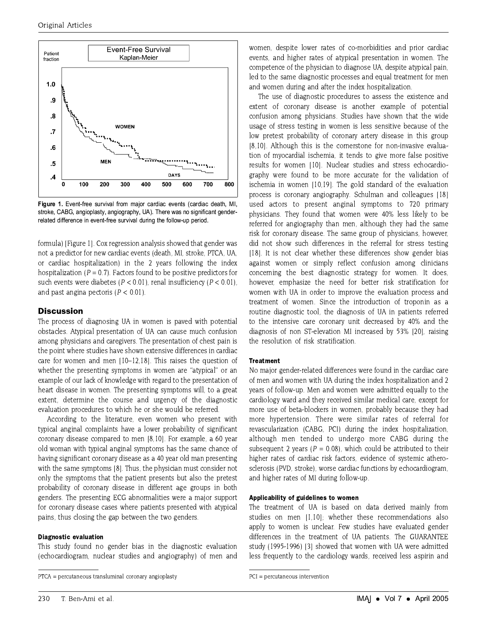

Figure 1. Event-free survival from major cardiac events (cardiac death, MI, stroke, CABG, angioplasty, angiography, UA). There was no significant genderrelated difference in event-free survival during the follow-up period.

formula) [Figure 1]. Cox regression analysis showed that gender was not a predictor for new cardiac events (death, MI, stroke, PTCA, UA, or cardiac hospitalization) in the 2 years following the index hospitalization ( $P = 0.7$ ). Factors found to be positive predictors for such events were diabetes ( $P < 0.01$ ), renal insufficiency ( $P < 0.01$ ), and past angina pectoris ( $P < 0.01$ ).

# **Discussion**

The process of diagnosing UA in women is paved with potential obstacles. Atypical presentation of UA can cause much confusion among physicians and caregivers. The presentation of chest pain is the point where studies have shown extensive differences in cardiac care for women and men (10–12.18). This raises the question of whether the presenting symptoms in women are "atypical" or an example of our lack of knowledge with regard to the presentation of heart disease in women. The presenting symptoms will, to a great extent, determine the course and urgency of the diagnostic evaluation procedures to which he or she would be referred.

According to the literature, even women who present with typical anginal complaints have a lower probability of significant coronary disease compared to men [8,10]. For example, a 60 year old woman with typical anginal symptoms has the same chance of having significant coronary disease as a 40 year old man presenting with the same symptoms [8]. Thus, the physician must consider not only the symptoms that the patient presents but also the pretest probability of coronary disease in different age groups in both genders. The presenting ECG abnormalities were a major support for coronary disease cases where patients presented with atypical pains, thus closing the gap between the two genders.

#### **Diagnostic evaluation**

This study found no gender bias in the diagnostic evaluation (echocardiogram, nuclear studies and angiography) of men and women, despite lower rates of co-morbidities and prior cardiac events, and higher rates of atypical presentation in women. The competence of the physician to diagnose UA, despite atypical pain. led to the same diagnostic processes and equal treatment for men and women during and after the index hospitalization.

The use of diagnostic procedures to assess the existence and extent of coronary disease is another example of potential confusion among physicians. Studies have shown that the wide usage of stress testing in women is less sensitive because of the low pretest probability of coronary artery disease in this group [8,10]. Although this is the cornerstone for non-invasive evaluation of myocardial ischemia, it tends to give more false positive results for women [10]. Nuclear studies and stress echocardiography were found to be more accurate for the validation of ischemia in women [10,19]. The gold standard of the evaluation process is coronary angiography. Schulman and colleagues [18] used actors to present anginal symptoms to 720 primary physicians. They found that women were 40% less likely to be referred for angiography than men, although they had the same risk for coronary disease. The same group of physicians, however, did not show such differences in the referral for stress testing [18]. It is not clear whether these differences show gender bias against women or simply reflect confusion among clinicians concerning the best diagnostic strategy for women. It does, however, emphasize the need for better risk stratification for women with UA in order to improve the evaluation process and treatment of women. Since the introduction of troponin as a routine diagnostic tool, the diagnosis of UA in patients referred to the intensive care coronary unit decreased by 40% and the diagnosis of non ST-elevation MI increased by 53% [20], raising the resolution of risk stratification.

#### **Treatment**

No major gender-related differences were found in the cardiac care of men and women with UA during the index hospitalization and 2 years of follow-up. Men and women were admitted equally to the cardiology ward and they received similar medical care, except for more use of beta-blockers in women, probably because they had more hypertension. There were similar rates of referral for revascularization (CABG, PCI) during the index hospitalization, although men tended to undergo more CABG during the subsequent 2 years ( $P = 0.08$ ), which could be attributed to their higher rates of cardiac risk factors, evidence of systemic atherosclerosis (PVD, stroke), worse cardiac functions by echocardiogram, and higher rates of MI during follow-up.

### Applicability of guidelines to women

The treatment of UA is based on data derived mainly from studies on men [1,10]; whether these recommendations also apply to women is unclear. Few studies have evaluated gender differences in the treatment of UA patients. The GUARANTEE study (1995-1996) [3] showed that women with UA were admitted less frequently to the cardiology wards, received less aspirin and

PTCA = percutaneous transluminal coronary angioplasty

 $PCI = percutaneous intervention$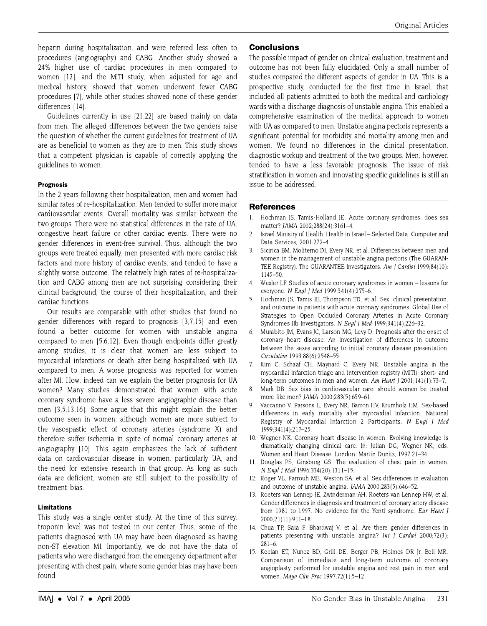heparin during hospitalization, and were referred less often to procedures (angiography) and CABG. Another study showed a 24% higher use of cardiac procedures in men compared to women [12], and the MITI study, when adjusted for age and medical history, showed that women underwent fewer CABG procedures [7], while other studies showed none of these gender differences [14].

Guidelines currently in use [21,22] are based mainly on data from men. The alleged differences between the two genders raise the question of whether the current guidelines for treatment of UA are as beneficial to women as they are to men. This study shows that a competent physician is capable of correctly applying the guidelines to women.

# **Prognosis**

In the 2 years following their hospitalization, men and women had similar rates of re-hospitalization. Men tended to suffer more major cardiovascular events. Overall mortality was similar between the two groups. There were no statistical differences in the rate of UA. congestive heart failure or other cardiac events. There were no gender differences in event-free survival. Thus, although the two groups were treated equally, men presented with more cardiac risk factors and more history of cardiac events, and tended to have a slightly worse outcome. The relatively high rates of re-hospitalization and CABG among men are not surprising considering their clinical background, the course of their hospitalization, and their cardiac functions.

Our results are comparable with other studies that found no gender differences with regard to prognosis [3,7,15] and even found a better outcome for women with unstable angina compared to men [5,6,12]. Even though endpoints differ greatly among studies, it is clear that women are less subject to myocardial infarctions or death after being hospitalized with UA compared to men. A worse prognosis was reported for women after MI. How, indeed can we explain the better prognosis for UA women? Many studies demonstrated that women with acute coronary syndrome have a less severe angiographic disease than men [3,5,13,16]. Some argue that this might explain the better outcome seen in women, although women are more subject to the vasospastic effect of coronary arteries (syndrome X) and therefore suffer ischemia in spite of normal coronary arteries at angiography [10]. This again emphasizes the lack of sufficient data on cardiovascular disease in women, particularly UA, and the need for extensive research in that group. As long as such data are deficient, women are still subject to the possibility of treatment bias.

# **Limitations**

This study was a single center study. At the time of this survey, troponin level was not tested in our center. Thus, some of the patients diagnosed with UA may have been diagnosed as having non-ST elevation MI. Importantly, we do not have the data of patients who were discharged from the emergency department after presenting with chest pain, where some gender bias may have been found.

# **Conclusions**

The possible impact of gender on clinical evaluation, treatment and outcome has not been fully elucidated. Only a small number of studies compared the different aspects of gender in UA. This is a prospective study, conducted for the first time in Israel, that included all patients admitted to both the medical and cardiology wards with a discharge diagnosis of unstable angina. This enabled a comprehensive examination of the medical approach to women with UA as compared to men. Unstable angina pectoris represents a significant potential for morbidity and mortality among men and women. We found no differences in the clinical presentation, diagnostic workup and treatment of the two groups. Men, however, tended to have a less favorable prognosis. The issue of risk stratification in women and innovating specific guidelines is still an issue to be addressed.

# **References**

- $\mathbf{1}$ Hochman IS, Tamis-Holland IE. Acute coronary syndromes: does sex matter? JAMA 2002;288(24):3161-4.
- Israel Ministry of Health. Health in Israel Selected Data. Computer and  $\overline{2}$ Data Services. 2001:272-4.
- $\mathcal{S}$ Sicirica BM, Moliterno DJ, Every NR, et al. Differences between men and women in the management of unstable angina pectoris (The GUARAN-TEE Registry). The GUARANTEE Investigators. Am J Cardiol 1999;84(10):  $1145 - 50$ .
- Wexler LF. Studies of acute coronary syndromes in women lessons for  $4<sub>1</sub>$ everyone. N Engl J Med 1999;341(4):275-6.
- Hochman JS, Tamis JE, Thompson TD, et al. Sex, clinical presentation,  $5<sub>1</sub>$ and outcome in patients with acute coronary syndromes. Global Use of Strategies to Open Occluded Coronary Arteries in Acute Coronary Syndromes IIb Investigators. N Engl J Med 1999:341(4):226-32.
- 6. Murabito JM, Evans JC, Larson MG, Levy D. Prognosis after the onset of coronary heart disease. An investigation of differences in outcome between the sexes according to initial coronary disease presentation. Circulation 1993:88(6):2548-55.
- $7<sub>1</sub>$ Kim C, Schaaf CH, Maynard C, Every NR. Unstable angina in the myocardial infarction triage and intervention registry (MITI): short- and long-term outcomes in men and women. Am Heart J 2001;141(1):73-7.
- 8. Mark DB. Sex bias in cardiovascular care: should women be treated more like men? JAMA 2000;283(5):659-61.
- 9. Vaccarino V, Parsons L, Every NR, Barron HV, Krumholz HM, Sex-based differences in early mortality after myocardial infarction. National Registry of Myocardial Infarction 2 Participants. N Engl J Med 1999;341(4):217-25
- 10. Wegner NK. Coronary heart disease in women. Evolving knowledge is dramatically changing clinical care. In: Julian DG, Wegner NK, eds. Women and Heart Disease. London: Martin Dunitz, 1997:21-34.
- 11. Douglas PS, Ginsburg GS. The evaluation of chest pain in women. N Engl J Med 1996;334(20):1311-15.
- 12. Roger VL, Farrouh ME, Weston SA, et al. Sex differences in evaluation and outcome of unstable angina. JAMA 2000;283(5):646-52.
- 13. Roeters van Lennep IE, Zwinderman AH, Roeters van Lennep HW, et al. Gender differences in diagnosis and treatment of coronary artery disease from 1981 to 1997. No evidence for the Yentl syndrome. Eur Heart J 2000:21(11):911-18
- 14. Chua TP, Saia F, Bhardwaj V, et al. Are there gender differences in patients presenting with unstable angina? Int J Cardiol 2000:72(3):  $281 - 6$
- 15. Keelan ET, Nunez BD, Grill DE, Berger PB, Holmes DR Jr, Bell MR. Comparison of immediate and long-term outcome of coronary angioplasty performed for unstable angina and rest pain in men and women. Mayo Clin Proc 1997;72(1):5-12.